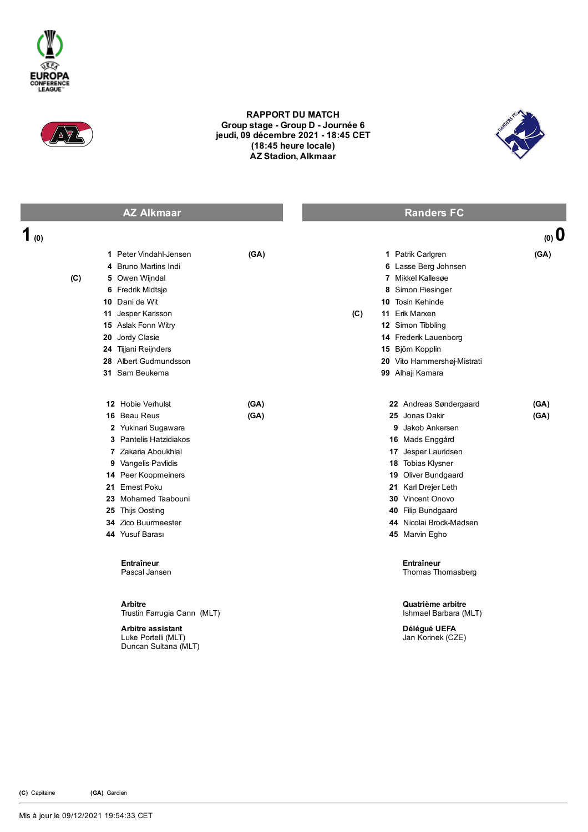



## RAPPORT DU MATCH Group stage - Group D - Journée 6 jeudi, 09 décembre 2021 18:45 CET (18:45 heure locale) AZ Stadion, Alkmaar



| <b>AZ Alkmaar</b> |                                                                                                                                                                                                                                                               |              | <b>Randers FC</b> |                                                                                                                                                                                                                                                                  |              |
|-------------------|---------------------------------------------------------------------------------------------------------------------------------------------------------------------------------------------------------------------------------------------------------------|--------------|-------------------|------------------------------------------------------------------------------------------------------------------------------------------------------------------------------------------------------------------------------------------------------------------|--------------|
| 1 $\omega$        |                                                                                                                                                                                                                                                               |              |                   |                                                                                                                                                                                                                                                                  | (0, 0)       |
| 4<br>(C)          | 1 Peter Vindahl-Jensen<br><b>Bruno Martins Indi</b><br>5 Owen Wijndal<br>6 Fredrik Midtsjø<br>10 Dani de Wit<br>11 Jesper Karlsson<br>15 Aslak Fonn Witry<br>20 Jordy Clasie<br>24 Tijjani Reijnders<br>28 Albert Gudmundsson<br>31 Sam Beukema               | (GA)         | (C)               | 1 Patrik Carlgren<br>6 Lasse Berg Johnsen<br>7 Mikkel Kallesøe<br>8 Simon Piesinger<br>10 Tosin Kehinde<br>11 Erik Marxen<br>12 Simon Tibbling<br>14 Frederik Lauenborg<br>15 Björn Kopplin<br>20 Vito Hammershøj-Mistrati<br>99 Alhaji Kamara                   | (GA)         |
|                   | 12 Hobie Verhulst<br>16 Beau Reus<br>2 Yukinari Sugawara<br>3 Pantelis Hatzidiakos<br>7 Zakaria Aboukhlal<br>9 Vangelis Pavlidis<br>14 Peer Koopmeiners<br>21 Emest Poku<br>23 Mohamed Taabouni<br>25 Thijs Oosting<br>34 Zico Buurmeester<br>44 Yusuf Barası | (GA)<br>(GA) |                   | 22 Andreas Søndergaard<br>25 Jonas Dakir<br>9 Jakob Ankersen<br>16 Mads Enggård<br>17 Jesper Lauridsen<br>18 Tobias Klysner<br>19 Oliver Bundgaard<br>21 Karl Drejer Leth<br>30 Vincent Onovo<br>40 Filip Bundgaard<br>44 Nicolai Brock-Madsen<br>45 Marvin Egho | (GA)<br>(GA) |
|                   | Entraîneur<br>Pascal Jansen<br><b>Arbitre</b><br>Trustin Farrugia Cann (MLT)<br><b>Arbitre assistant</b><br>Luke Portelli (MLT)<br>Duncan Sultana (MLT)                                                                                                       |              |                   | Entraîneur<br>Thomas Thomasberg<br>Quatrième arbitre<br>Ishmael Barbara (MLT)<br>Délégué UEFA<br>Jan Korinek (CZE)                                                                                                                                               |              |

(C) Capitaine (GA) Gardien